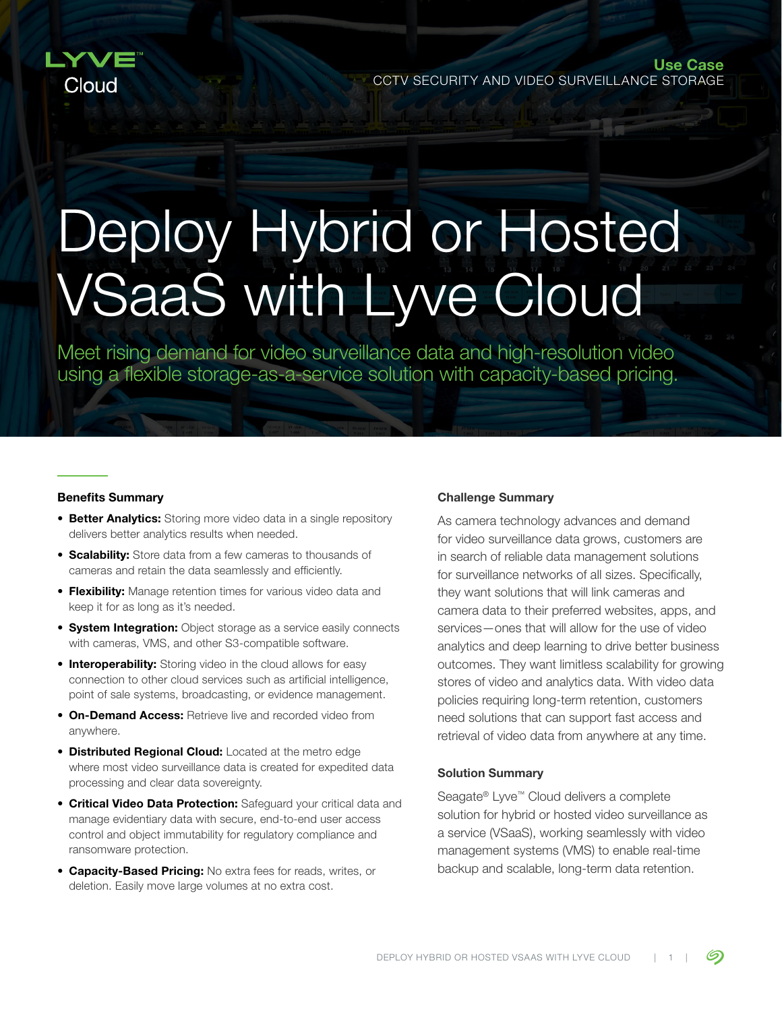

Use Case CCTV SECURITY AND VIDEO SURVEILLANCE STORAGE

# Deploy Hybrid or Hosted VSaaS with Lyve Cloud

Meet rising demand for video surveillance data and high-resolution video using a flexible storage-as-a-service solution with capacity-based pricing.

#### Benefits Summary

- Better Analytics: Storing more video data in a single repository delivers better analytics results when needed.
- **Scalability:** Store data from a few cameras to thousands of cameras and retain the data seamlessly and efficiently.
- **Flexibility:** Manage retention times for various video data and keep it for as long as it's needed.
- **System Integration:** Object storage as a service easily connects with cameras, VMS, and other S3-compatible software.
- **Interoperability:** Storing video in the cloud allows for easy connection to other cloud services such as artificial intelligence, point of sale systems, broadcasting, or evidence management.
- **On-Demand Access: Retrieve live and recorded video from** anywhere.
- **Distributed Regional Cloud:** Located at the metro edge where most video surveillance data is created for expedited data processing and clear data sovereignty.
- **Critical Video Data Protection:** Safeguard your critical data and manage evidentiary data with secure, end-to-end user access control and object immutability for regulatory compliance and ransomware protection.
- **Capacity-Based Pricing: No extra fees for reads, writes, or** deletion. Easily move large volumes at no extra cost.

#### Challenge Summary

As camera technology advances and demand for video surveillance data grows, customers are in search of reliable data management solutions for surveillance networks of all sizes. Specifically, they want solutions that will link cameras and camera data to their preferred websites, apps, and services—ones that will allow for the use of video analytics and deep learning to drive better business outcomes. They want limitless scalability for growing stores of video and analytics data. With video data policies requiring long-term retention, customers need solutions that can support fast access and retrieval of video data from anywhere at any time.

### Solution Summary

Seagate® Lyve™ Cloud delivers a complete solution for hybrid or hosted video surveillance as a service (VSaaS), working seamlessly with video management systems (VMS) to enable real-time backup and scalable, long-term data retention.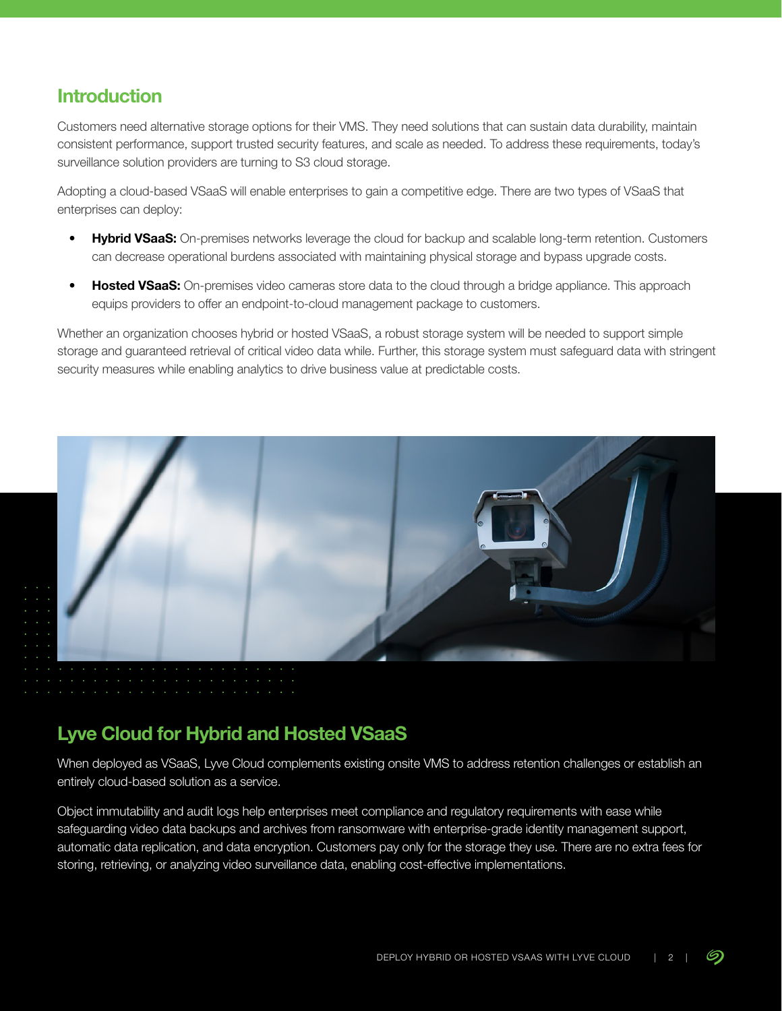# **Introduction**

Customers need alternative storage options for their VMS. They need solutions that can sustain data durability, maintain consistent performance, support trusted security features, and scale as needed. To address these requirements, today's surveillance solution providers are turning to S3 cloud storage.

Adopting a cloud-based VSaaS will enable enterprises to gain a competitive edge. There are two types of VSaaS that enterprises can deploy:

- Hybrid VSaaS: On-premises networks leverage the cloud for backup and scalable long-term retention. Customers can decrease operational burdens associated with maintaining physical storage and bypass upgrade costs.
- **Hosted VSaaS:** On-premises video cameras store data to the cloud through a bridge appliance. This approach equips providers to offer an endpoint-to-cloud management package to customers.

Whether an organization chooses hybrid or hosted VSaaS, a robust storage system will be needed to support simple storage and guaranteed retrieval of critical video data while. Further, this storage system must safeguard data with stringent security measures while enabling analytics to drive business value at predictable costs.



# **Lyve Cloud for Hybrid and Hosted VSaaS**

When deployed as VSaaS, Lyve Cloud complements existing onsite VMS to address retention challenges or establish an entirely cloud-based solution as a service.

Object immutability and audit logs help enterprises meet compliance and regulatory requirements with ease while safeguarding video data backups and archives from ransomware with enterprise-grade identity management support, automatic data replication, and data encryption. Customers pay only for the storage they use. There are no extra fees for storing, retrieving, or analyzing video surveillance data, enabling cost-effective implementations.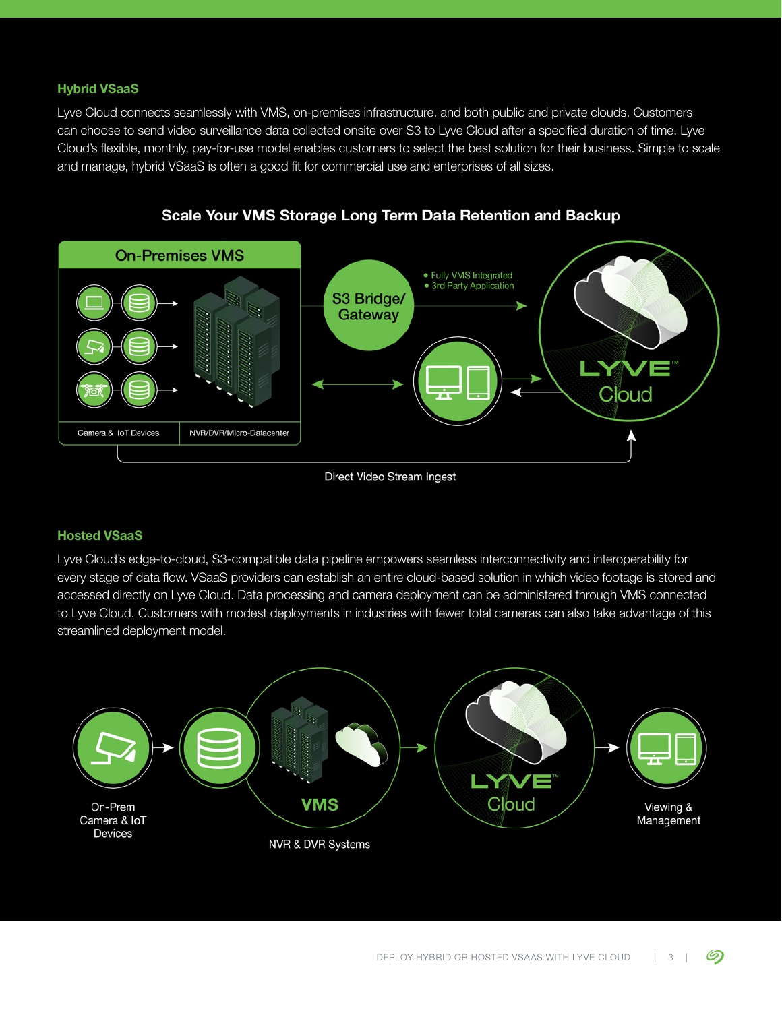## Hybrid VSaaS

Lyve Cloud connects seamlessly with VMS, on-premises infrastructure, and both public and private clouds. Customers can choose to send video surveillance data collected onsite over S3 to Lyve Cloud after a specified duration of time. Lyve Cloud's flexible, monthly, pay-for-use model enables customers to select the best solution for their business. Simple to scale and manage, hybrid VSaaS is often a good fit for commercial use and enterprises of all sizes.



## Scale Your VMS Storage Long Term Data Retention and Backup

Direct Video Stream Ingest

## Hosted VSaaS

Lyve Cloud's edge-to-cloud, S3-compatible data pipeline empowers seamless interconnectivity and interoperability for every stage of data flow. VSaaS providers can establish an entire cloud-based solution in which video footage is stored and accessed directly on Lyve Cloud. Data processing and camera deployment can be administered through VMS connected to Lyve Cloud. Customers with modest deployments in industries with fewer total cameras can also take advantage of this streamlined deployment model.